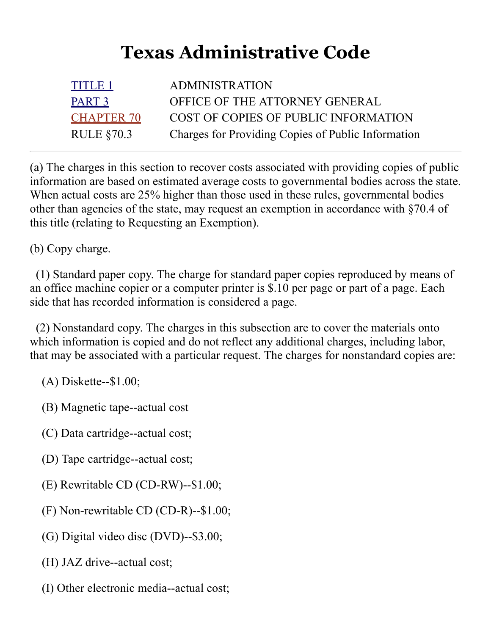## **Texas Administrative Code**

| <b>TITLE 1</b>    | <b>ADMINISTRATION</b>                              |
|-------------------|----------------------------------------------------|
| PART <sub>3</sub> | OFFICE OF THE ATTORNEY GENERAL                     |
| <b>CHAPTER 70</b> | COST OF COPIES OF PUBLIC INFORMATION               |
| RULE $§70.3$      | Charges for Providing Copies of Public Information |

(a) The charges in this section to recover costs associated with providing copies of public information are based on estimated average costs to governmental bodies across the state. When actual costs are 25% higher than those used in these rules, governmental bodies other than agencies of the state, may request an exemption in accordance with §70.4 of this title (relating to Requesting an Exemption).

(b) Copy charge.

 (1) Standard paper copy. The charge for standard paper copies reproduced by means of an office machine copier or a computer printer is \$.10 per page or part of a page. Each side that has recorded information is considered a page.

 (2) Nonstandard copy. The charges in this subsection are to cover the materials onto which information is copied and do not reflect any additional charges, including labor, that may be associated with a particular request. The charges for nonstandard copies are:

(A) Diskette--\$1.00;

(B) Magnetic tape--actual cost

- (C) Data cartridge--actual cost;
- (D) Tape cartridge--actual cost;
- (E) Rewritable CD (CD-RW)--\$1.00;
- (F) Non-rewritable CD (CD-R)--\$1.00;
- (G) Digital video disc (DVD)--\$3.00;
- (H) JAZ drive--actual cost;
- (I) Other electronic media--actual cost;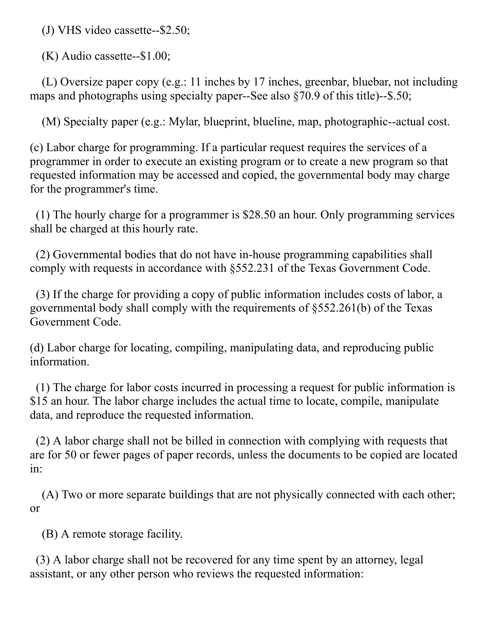(J) VHS video cassette--\$2.50;

(K) Audio cassette--\$1.00;

 (L) Oversize paper copy (e.g.: 11 inches by 17 inches, greenbar, bluebar, not including maps and photographs using specialty paper--See also §70.9 of this title)--\$.50;

(M) Specialty paper (e.g.: Mylar, blueprint, blueline, map, photographic--actual cost.

(c) Labor charge for programming. If a particular request requires the services of a programmer in order to execute an existing program or to create a new program so that requested information may be accessed and copied, the governmental body may charge for the programmer's time.

 (1) The hourly charge for a programmer is \$28.50 an hour. Only programming services shall be charged at this hourly rate.

 (2) Governmental bodies that do not have in-house programming capabilities shall comply with requests in accordance with §552.231 of the Texas Government Code.

 (3) If the charge for providing a copy of public information includes costs of labor, a governmental body shall comply with the requirements of §552.261(b) of the Texas Government Code.

(d) Labor charge for locating, compiling, manipulating data, and reproducing public information.

 (1) The charge for labor costs incurred in processing a request for public information is \$15 an hour. The labor charge includes the actual time to locate, compile, manipulate data, and reproduce the requested information.

 (2) A labor charge shall not be billed in connection with complying with requests that are for 50 or fewer pages of paper records, unless the documents to be copied are located in:

 (A) Two or more separate buildings that are not physically connected with each other; or

(B) A remote storage facility.

 (3) A labor charge shall not be recovered for any time spent by an attorney, legal assistant, or any other person who reviews the requested information: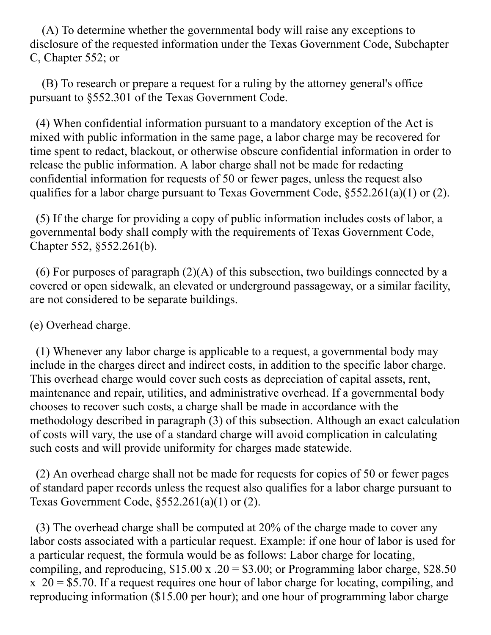(A) To determine whether the governmental body will raise any exceptions to disclosure of the requested information under the Texas Government Code, Subchapter C, Chapter 552; or

 (B) To research or prepare a request for a ruling by the attorney general's office pursuant to §552.301 of the Texas Government Code.

 (4) When confidential information pursuant to a mandatory exception of the Act is mixed with public information in the same page, a labor charge may be recovered for time spent to redact, blackout, or otherwise obscure confidential information in order to release the public information. A labor charge shall not be made for redacting confidential information for requests of 50 or fewer pages, unless the request also qualifies for a labor charge pursuant to Texas Government Code, §552.261(a)(1) or (2).

 (5) If the charge for providing a copy of public information includes costs of labor, a governmental body shall comply with the requirements of Texas Government Code, Chapter 552, §552.261(b).

 (6) For purposes of paragraph (2)(A) of this subsection, two buildings connected by a covered or open sidewalk, an elevated or underground passageway, or a similar facility, are not considered to be separate buildings.

(e) Overhead charge.

 (1) Whenever any labor charge is applicable to a request, a governmental body may include in the charges direct and indirect costs, in addition to the specific labor charge. This overhead charge would cover such costs as depreciation of capital assets, rent, maintenance and repair, utilities, and administrative overhead. If a governmental body chooses to recover such costs, a charge shall be made in accordance with the methodology described in paragraph (3) of this subsection. Although an exact calculation of costs will vary, the use of a standard charge will avoid complication in calculating such costs and will provide uniformity for charges made statewide.

 (2) An overhead charge shall not be made for requests for copies of 50 or fewer pages of standard paper records unless the request also qualifies for a labor charge pursuant to Texas Government Code,  $\S 552.261(a)(1)$  or (2).

 (3) The overhead charge shall be computed at 20% of the charge made to cover any labor costs associated with a particular request. Example: if one hour of labor is used for a particular request, the formula would be as follows: Labor charge for locating, compiling, and reproducing,  $$15.00 \times .20 = $3.00$ ; or Programming labor charge, \$28.50  $x$  20 = \$5.70. If a request requires one hour of labor charge for locating, compiling, and reproducing information (\$15.00 per hour); and one hour of programming labor charge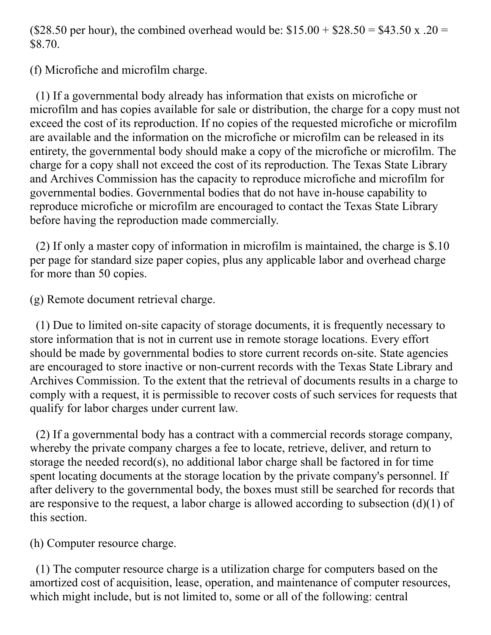(\$28.50 per hour), the combined overhead would be:  $$15.00 + $28.50 = $43.50 \times .20 =$ \$8.70.

(f) Microfiche and microfilm charge.

 (1) If a governmental body already has information that exists on microfiche or microfilm and has copies available for sale or distribution, the charge for a copy must not exceed the cost of its reproduction. If no copies of the requested microfiche or microfilm are available and the information on the microfiche or microfilm can be released in its entirety, the governmental body should make a copy of the microfiche or microfilm. The charge for a copy shall not exceed the cost of its reproduction. The Texas State Library and Archives Commission has the capacity to reproduce microfiche and microfilm for governmental bodies. Governmental bodies that do not have in-house capability to reproduce microfiche or microfilm are encouraged to contact the Texas State Library before having the reproduction made commercially.

 (2) If only a master copy of information in microfilm is maintained, the charge is \$.10 per page for standard size paper copies, plus any applicable labor and overhead charge for more than 50 copies.

(g) Remote document retrieval charge.

 (1) Due to limited on-site capacity of storage documents, it is frequently necessary to store information that is not in current use in remote storage locations. Every effort should be made by governmental bodies to store current records on-site. State agencies are encouraged to store inactive or non-current records with the Texas State Library and Archives Commission. To the extent that the retrieval of documents results in a charge to comply with a request, it is permissible to recover costs of such services for requests that qualify for labor charges under current law.

 (2) If a governmental body has a contract with a commercial records storage company, whereby the private company charges a fee to locate, retrieve, deliver, and return to storage the needed record(s), no additional labor charge shall be factored in for time spent locating documents at the storage location by the private company's personnel. If after delivery to the governmental body, the boxes must still be searched for records that are responsive to the request, a labor charge is allowed according to subsection  $(d)(1)$  of this section.

(h) Computer resource charge.

 (1) The computer resource charge is a utilization charge for computers based on the amortized cost of acquisition, lease, operation, and maintenance of computer resources, which might include, but is not limited to, some or all of the following: central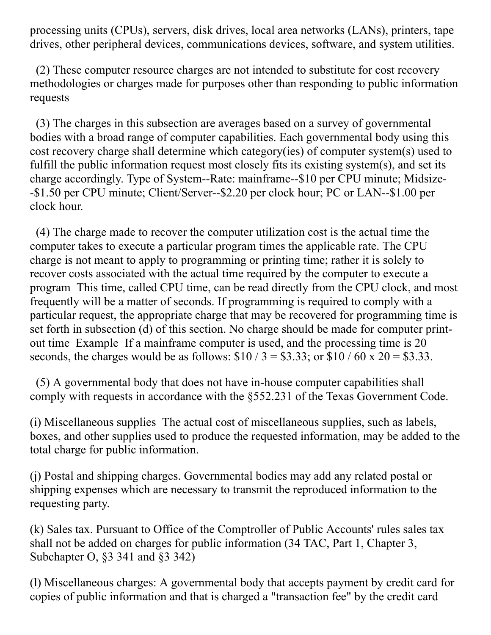processing units (CPUs), servers, disk drives, local area networks (LANs), printers, tape drives, other peripheral devices, communications devices, software, and system utilities.

 (2) These computer resource charges are not intended to substitute for cost recovery methodologies or charges made for purposes other than responding to public information requests

 (3) The charges in this subsection are averages based on a survey of governmental bodies with a broad range of computer capabilities. Each governmental body using this cost recovery charge shall determine which category(ies) of computer system(s) used to fulfill the public information request most closely fits its existing system(s), and set its charge accordingly. Type of System--Rate: mainframe--\$10 per CPU minute; Midsize- -\$1.50 per CPU minute; Client/Server--\$2.20 per clock hour; PC or LAN--\$1.00 per clock hour.

 (4) The charge made to recover the computer utilization cost is the actual time the computer takes to execute a particular program times the applicable rate. The CPU charge is not meant to apply to programming or printing time; rather it is solely to recover costs associated with the actual time required by the computer to execute a program This time, called CPU time, can be read directly from the CPU clock, and most frequently will be a matter of seconds. If programming is required to comply with a particular request, the appropriate charge that may be recovered for programming time is set forth in subsection (d) of this section. No charge should be made for computer printout time Example If a mainframe computer is used, and the processing time is 20 seconds, the charges would be as follows:  $$10 / 3 = $3.33$ ; or  $$10 / 60 \times 20 = $3.33$ .

 (5) A governmental body that does not have in-house computer capabilities shall comply with requests in accordance with the §552.231 of the Texas Government Code.

(i) Miscellaneous supplies The actual cost of miscellaneous supplies, such as labels, boxes, and other supplies used to produce the requested information, may be added to the total charge for public information.

(j) Postal and shipping charges. Governmental bodies may add any related postal or shipping expenses which are necessary to transmit the reproduced information to the requesting party.

(k) Sales tax. Pursuant to Office of the Comptroller of Public Accounts' rules sales tax shall not be added on charges for public information (34 TAC, Part 1, Chapter 3, Subchapter O, §3 341 and §3 342)

(l) Miscellaneous charges: A governmental body that accepts payment by credit card for copies of public information and that is charged a "transaction fee" by the credit card